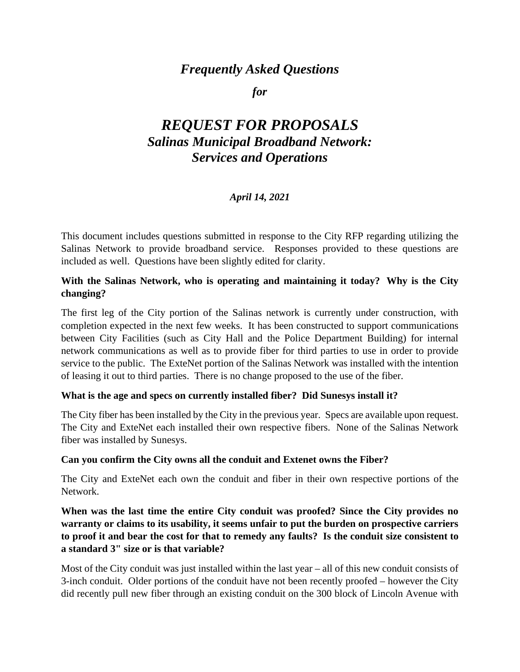# *Frequently Asked Questions*

#### *for*

# *REQUEST FOR PROPOSALS Salinas Municipal Broadband Network: Services and Operations*

## *April 14, 2021*

This document includes questions submitted in response to the City RFP regarding utilizing the Salinas Network to provide broadband service. Responses provided to these questions are included as well. Questions have been slightly edited for clarity.

#### **With the Salinas Network, who is operating and maintaining it today? Why is the City changing?**

The first leg of the City portion of the Salinas network is currently under construction, with completion expected in the next few weeks. It has been constructed to support communications between City Facilities (such as City Hall and the Police Department Building) for internal network communications as well as to provide fiber for third parties to use in order to provide service to the public. The ExteNet portion of the Salinas Network was installed with the intention of leasing it out to third parties. There is no change proposed to the use of the fiber.

#### **What is the age and specs on currently installed fiber? Did Sunesys install it?**

The City fiber has been installed by the City in the previous year. Specs are available upon request. The City and ExteNet each installed their own respective fibers. None of the Salinas Network fiber was installed by Sunesys.

#### **Can you confirm the City owns all the conduit and Extenet owns the Fiber?**

The City and ExteNet each own the conduit and fiber in their own respective portions of the Network.

## **When was the last time the entire City conduit was proofed? Since the City provides no warranty or claims to its usability, it seems unfair to put the burden on prospective carriers to proof it and bear the cost for that to remedy any faults? Is the conduit size consistent to a standard 3" size or is that variable?**

Most of the City conduit was just installed within the last year – all of this new conduit consists of 3-inch conduit. Older portions of the conduit have not been recently proofed – however the City did recently pull new fiber through an existing conduit on the 300 block of Lincoln Avenue with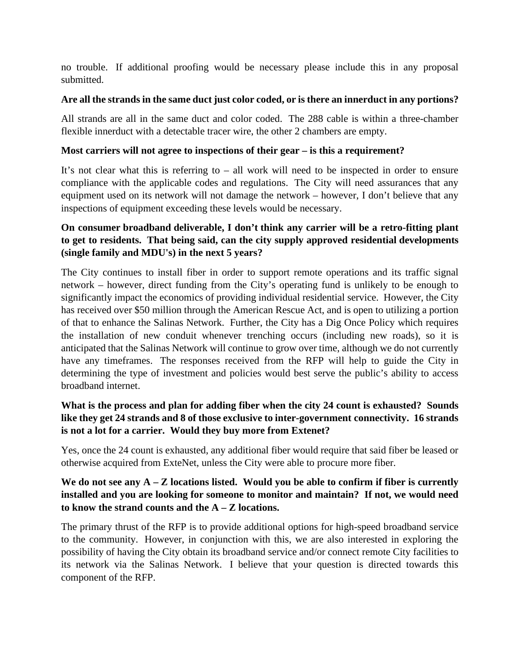no trouble. If additional proofing would be necessary please include this in any proposal submitted.

#### **Are all the strands in the same duct just color coded, or is there an innerduct in any portions?**

All strands are all in the same duct and color coded. The 288 cable is within a three-chamber flexible innerduct with a detectable tracer wire, the other 2 chambers are empty.

## **Most carriers will not agree to inspections of their gear – is this a requirement?**

It's not clear what this is referring to – all work will need to be inspected in order to ensure compliance with the applicable codes and regulations. The City will need assurances that any equipment used on its network will not damage the network – however, I don't believe that any inspections of equipment exceeding these levels would be necessary.

## **On consumer broadband deliverable, I don't think any carrier will be a retro-fitting plant to get to residents. That being said, can the city supply approved residential developments (single family and MDU's) in the next 5 years?**

The City continues to install fiber in order to support remote operations and its traffic signal network – however, direct funding from the City's operating fund is unlikely to be enough to significantly impact the economics of providing individual residential service. However, the City has received over \$50 million through the American Rescue Act, and is open to utilizing a portion of that to enhance the Salinas Network. Further, the City has a Dig Once Policy which requires the installation of new conduit whenever trenching occurs (including new roads), so it is anticipated that the Salinas Network will continue to grow over time, although we do not currently have any timeframes. The responses received from the RFP will help to guide the City in determining the type of investment and policies would best serve the public's ability to access broadband internet.

## **What is the process and plan for adding fiber when the city 24 count is exhausted? Sounds like they get 24 strands and 8 of those exclusive to inter-government connectivity. 16 strands is not a lot for a carrier. Would they buy more from Extenet?**

Yes, once the 24 count is exhausted, any additional fiber would require that said fiber be leased or otherwise acquired from ExteNet, unless the City were able to procure more fiber.

## We do not see any  $A - Z$  locations listed. Would you be able to confirm if fiber is currently **installed and you are looking for someone to monitor and maintain? If not, we would need to know the strand counts and the A – Z locations.**

The primary thrust of the RFP is to provide additional options for high-speed broadband service to the community. However, in conjunction with this, we are also interested in exploring the possibility of having the City obtain its broadband service and/or connect remote City facilities to its network via the Salinas Network. I believe that your question is directed towards this component of the RFP.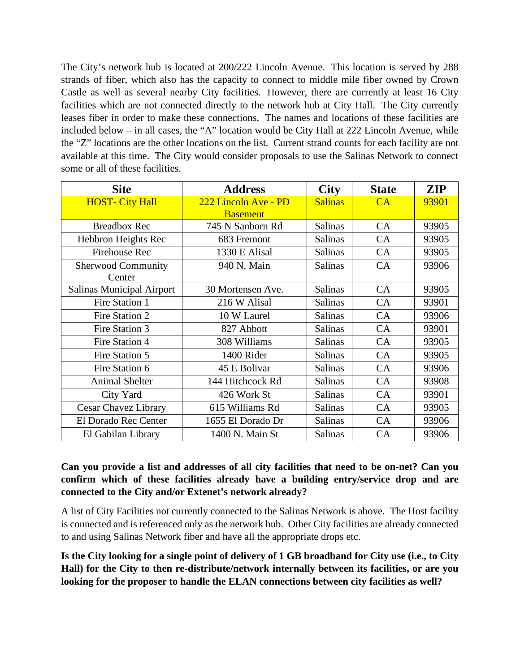The City's network hub is located at 200/222 Lincoln Avenue. This location is served by 288 strands of fiber, which also has the capacity to connect to middle mile fiber owned by Crown Castle as well as several nearby City facilities. However, there are currently at least 16 City facilities which are not connected directly to the network hub at City Hall. The City currently leases fiber in order to make these connections. The names and locations of these facilities are included below – in all cases, the "A" location would be City Hall at 222 Lincoln Avenue, while the "Z" locations are the other locations on the list. Current strand counts for each facility are not available at this time. The City would consider proposals to use the Salinas Network to connect some or all of these facilities.

| <b>Site</b>                      | <b>Address</b>       | <b>City</b>    | <b>State</b> | ZIP   |
|----------------------------------|----------------------|----------------|--------------|-------|
| <b>HOST- City Hall</b>           | 222 Lincoln Ave - PD | <b>Salinas</b> | CA           | 93901 |
|                                  | <b>Basement</b>      |                |              |       |
| <b>Breadbox Rec</b>              | 745 N Sanborn Rd     | <b>Salinas</b> | CA           | 93905 |
| Hebbron Heights Rec              | 683 Fremont          | <b>Salinas</b> | CA           | 93905 |
| <b>Firehouse Rec</b>             | 1330 E Alisal        | <b>Salinas</b> | CA           | 93905 |
| <b>Sherwood Community</b>        | 940 N. Main          | <b>Salinas</b> | CA           | 93906 |
| Center                           |                      |                |              |       |
| <b>Salinas Municipal Airport</b> | 30 Mortensen Ave.    | <b>Salinas</b> | CA           | 93905 |
| Fire Station 1                   | 216 W Alisal         | <b>Salinas</b> | <b>CA</b>    | 93901 |
| Fire Station 2                   | 10 W Laurel          | <b>Salinas</b> | CA           | 93906 |
| Fire Station 3                   | 827 Abbott           | <b>Salinas</b> | CA           | 93901 |
| Fire Station 4                   | 308 Williams         | <b>Salinas</b> | CA           | 93905 |
| Fire Station 5                   | 1400 Rider           | <b>Salinas</b> | CA           | 93905 |
| Fire Station 6                   | 45 E Bolivar         | <b>Salinas</b> | CA           | 93906 |
| <b>Animal Shelter</b>            | 144 Hitchcock Rd     | <b>Salinas</b> | CA           | 93908 |
| City Yard                        | 426 Work St          | <b>Salinas</b> | CA           | 93901 |
| <b>Cesar Chavez Library</b>      | 615 Williams Rd      | <b>Salinas</b> | CA           | 93905 |
| El Dorado Rec Center             | 1655 El Dorado Dr    | <b>Salinas</b> | <b>CA</b>    | 93906 |
| El Gabilan Library               | 1400 N. Main St      | <b>Salinas</b> | CA           | 93906 |

#### **Can you provide a list and addresses of all city facilities that need to be on-net? Can you confirm which of these facilities already have a building entry/service drop and are connected to the City and/or Extenet's network already?**

A list of City Facilities not currently connected to the Salinas Network is above. The Host facility is connected and is referenced only as the network hub. Other City facilities are already connected to and using Salinas Network fiber and have all the appropriate drops etc.

**Is the City looking for a single point of delivery of 1 GB broadband for City use (i.e., to City Hall) for the City to then re-distribute/network internally between its facilities, or are you looking for the proposer to handle the ELAN connections between city facilities as well?**